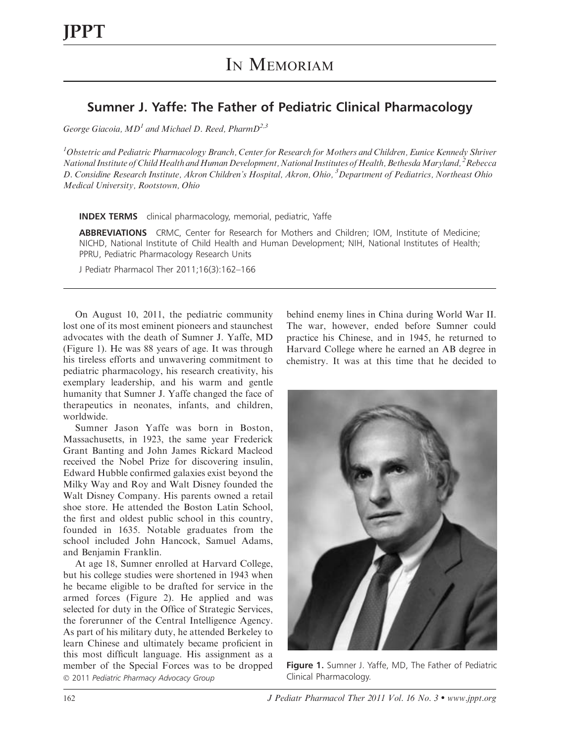## Sumner J. Yaffe: The Father of Pediatric Clinical Pharmacology

George Giacoia,  $MD<sup>1</sup>$  and Michael D. Reed, Pharm $D<sup>2,3</sup>$ 

<sup>1</sup>Obstetric and Pediatric Pharmacology Branch, Center for Research for Mothers and Children, Eunice Kennedy Shriver National Institute of Child Health and Human Development, National Institutes of Health, Bethesda Maryland, <sup>2</sup> Rebecca D. Considine Research Institute, Akron Children's Hospital, Akron, Ohio, <sup>3</sup> Department of Pediatrics, Northeast Ohio Medical University, Rootstown, Ohio

INDEX TERMS clinical pharmacology, memorial, pediatric, Yaffe

ABBREVIATIONS CRMC, Center for Research for Mothers and Children; IOM, Institute of Medicine; NICHD, National Institute of Child Health and Human Development; NIH, National Institutes of Health; PPRU, Pediatric Pharmacology Research Units

J Pediatr Pharmacol Ther 2011;16(3):162–166

On August 10, 2011, the pediatric community lost one of its most eminent pioneers and staunchest advocates with the death of Sumner J. Yaffe, MD (Figure 1). He was 88 years of age. It was through his tireless efforts and unwavering commitment to pediatric pharmacology, his research creativity, his exemplary leadership, and his warm and gentle humanity that Sumner J. Yaffe changed the face of therapeutics in neonates, infants, and children, worldwide.

Sumner Jason Yaffe was born in Boston, Massachusetts, in 1923, the same year Frederick Grant Banting and John James Rickard Macleod received the Nobel Prize for discovering insulin, Edward Hubble confirmed galaxies exist beyond the Milky Way and Roy and Walt Disney founded the Walt Disney Company. His parents owned a retail shoe store. He attended the Boston Latin School, the first and oldest public school in this country, founded in 1635. Notable graduates from the school included John Hancock, Samuel Adams, and Benjamin Franklin.

At age 18, Sumner enrolled at Harvard College, but his college studies were shortened in 1943 when he became eligible to be drafted for service in the armed forces (Figure 2). He applied and was selected for duty in the Office of Strategic Services, the forerunner of the Central Intelligence Agency. As part of his military duty, he attended Berkeley to learn Chinese and ultimately became proficient in this most difficult language. His assignment as a member of the Special Forces was to be dropped © 2011 Pediatric Pharmacy Advocacy Group Clinical Pharmacology.

behind enemy lines in China during World War II. The war, however, ended before Sumner could practice his Chinese, and in 1945, he returned to Harvard College where he earned an AB degree in chemistry. It was at this time that he decided to



Figure 1. Sumner J. Yaffe, MD, The Father of Pediatric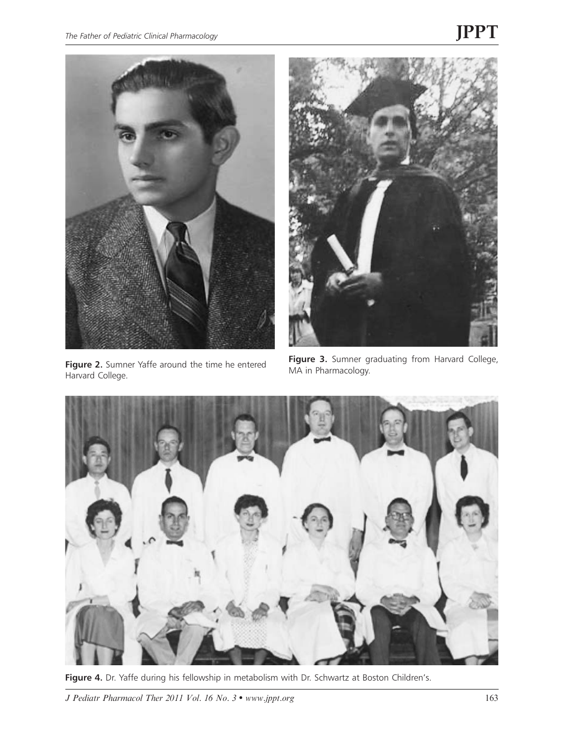

Figure 2. Sumner Yaffe around the time he entered Harvard College.



Figure 3. Sumner graduating from Harvard College, MA in Pharmacology.



Figure 4. Dr. Yaffe during his fellowship in metabolism with Dr. Schwartz at Boston Children's.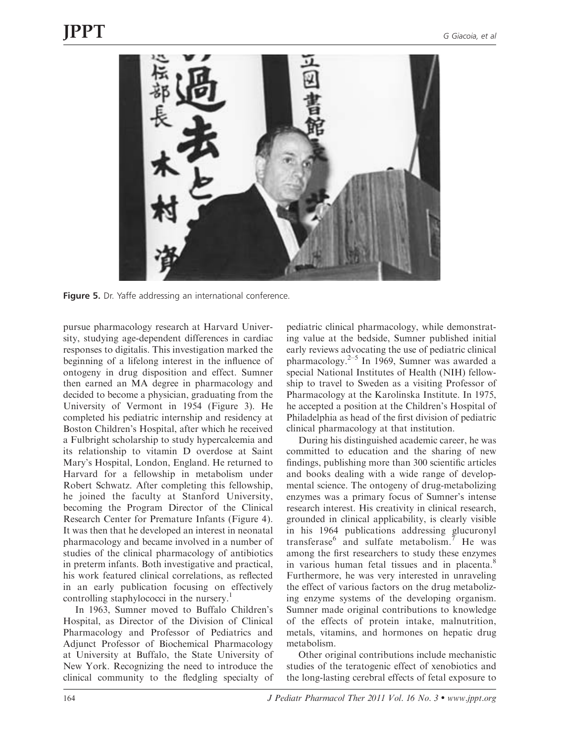

Figure 5. Dr. Yaffe addressing an international conference.

pursue pharmacology research at Harvard University, studying age-dependent differences in cardiac responses to digitalis. This investigation marked the beginning of a lifelong interest in the influence of ontogeny in drug disposition and effect. Sumner then earned an MA degree in pharmacology and decided to become a physician, graduating from the University of Vermont in 1954 (Figure 3). He completed his pediatric internship and residency at Boston Children's Hospital, after which he received a Fulbright scholarship to study hypercalcemia and its relationship to vitamin D overdose at Saint Mary's Hospital, London, England. He returned to Harvard for a fellowship in metabolism under Robert Schwatz. After completing this fellowship, he joined the faculty at Stanford University, becoming the Program Director of the Clinical Research Center for Premature Infants (Figure 4). It was then that he developed an interest in neonatal pharmacology and became involved in a number of studies of the clinical pharmacology of antibiotics in preterm infants. Both investigative and practical, his work featured clinical correlations, as reflected in an early publication focusing on effectively controlling staphylococci in the nursery.<sup>1</sup>

In 1963, Sumner moved to Buffalo Children's Hospital, as Director of the Division of Clinical Pharmacology and Professor of Pediatrics and Adjunct Professor of Biochemical Pharmacology at University at Buffalo, the State University of New York. Recognizing the need to introduce the clinical community to the fledgling specialty of pediatric clinical pharmacology, while demonstrating value at the bedside, Sumner published initial early reviews advocating the use of pediatric clinical pharmacology. $2-5$  In 1969, Sumner was awarded a special National Institutes of Health (NIH) fellowship to travel to Sweden as a visiting Professor of Pharmacology at the Karolinska Institute. In 1975, he accepted a position at the Children's Hospital of Philadelphia as head of the first division of pediatric clinical pharmacology at that institution.

During his distinguished academic career, he was committed to education and the sharing of new findings, publishing more than 300 scientific articles and books dealing with a wide range of developmental science. The ontogeny of drug-metabolizing enzymes was a primary focus of Sumner's intense research interest. His creativity in clinical research, grounded in clinical applicability, is clearly visible in his 1964 publications addressing glucuronyl transferase $^6$  and sulfate metabolism.<sup>7</sup> He was among the first researchers to study these enzymes in various human fetal tissues and in placenta.<sup>8</sup> Furthermore, he was very interested in unraveling the effect of various factors on the drug metabolizing enzyme systems of the developing organism. Sumner made original contributions to knowledge of the effects of protein intake, malnutrition, metals, vitamins, and hormones on hepatic drug metabolism.

Other original contributions include mechanistic studies of the teratogenic effect of xenobiotics and the long-lasting cerebral effects of fetal exposure to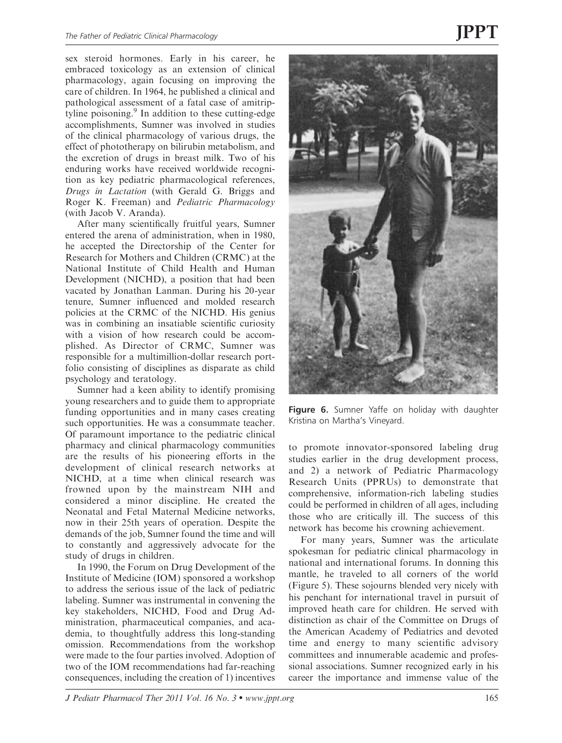sex steroid hormones. Early in his career, he embraced toxicology as an extension of clinical pharmacology, again focusing on improving the care of children. In 1964, he published a clinical and pathological assessment of a fatal case of amitriptyline poisoning.<sup>9</sup> In addition to these cutting-edge accomplishments, Sumner was involved in studies of the clinical pharmacology of various drugs, the effect of phototherapy on bilirubin metabolism, and the excretion of drugs in breast milk. Two of his enduring works have received worldwide recognition as key pediatric pharmacological references, Drugs in Lactation (with Gerald G. Briggs and Roger K. Freeman) and Pediatric Pharmacology (with Jacob V. Aranda).

After many scientifically fruitful years, Sumner entered the arena of administration, when in 1980, he accepted the Directorship of the Center for Research for Mothers and Children (CRMC) at the National Institute of Child Health and Human Development (NICHD), a position that had been vacated by Jonathan Lanman. During his 20-year tenure, Sumner influenced and molded research policies at the CRMC of the NICHD. His genius was in combining an insatiable scientific curiosity with a vision of how research could be accomplished. As Director of CRMC, Sumner was responsible for a multimillion-dollar research portfolio consisting of disciplines as disparate as child psychology and teratology.

Sumner had a keen ability to identify promising young researchers and to guide them to appropriate funding opportunities and in many cases creating such opportunities. He was a consummate teacher. Of paramount importance to the pediatric clinical pharmacy and clinical pharmacology communities are the results of his pioneering efforts in the development of clinical research networks at NICHD, at a time when clinical research was frowned upon by the mainstream NIH and considered a minor discipline. He created the Neonatal and Fetal Maternal Medicine networks, now in their 25th years of operation. Despite the demands of the job, Sumner found the time and will to constantly and aggressively advocate for the study of drugs in children.

In 1990, the Forum on Drug Development of the Institute of Medicine (IOM) sponsored a workshop to address the serious issue of the lack of pediatric labeling. Sumner was instrumental in convening the key stakeholders, NICHD, Food and Drug Administration, pharmaceutical companies, and academia, to thoughtfully address this long-standing omission. Recommendations from the workshop were made to the four parties involved. Adoption of two of the IOM recommendations had far-reaching consequences, including the creation of 1) incentives



Figure 6. Sumner Yaffe on holiday with daughter Kristina on Martha's Vineyard.

to promote innovator-sponsored labeling drug studies earlier in the drug development process, and 2) a network of Pediatric Pharmacology Research Units (PPRUs) to demonstrate that comprehensive, information-rich labeling studies could be performed in children of all ages, including those who are critically ill. The success of this network has become his crowning achievement.

For many years, Sumner was the articulate spokesman for pediatric clinical pharmacology in national and international forums. In donning this mantle, he traveled to all corners of the world (Figure 5). These sojourns blended very nicely with his penchant for international travel in pursuit of improved heath care for children. He served with distinction as chair of the Committee on Drugs of the American Academy of Pediatrics and devoted time and energy to many scientific advisory committees and innumerable academic and professional associations. Sumner recognized early in his career the importance and immense value of the